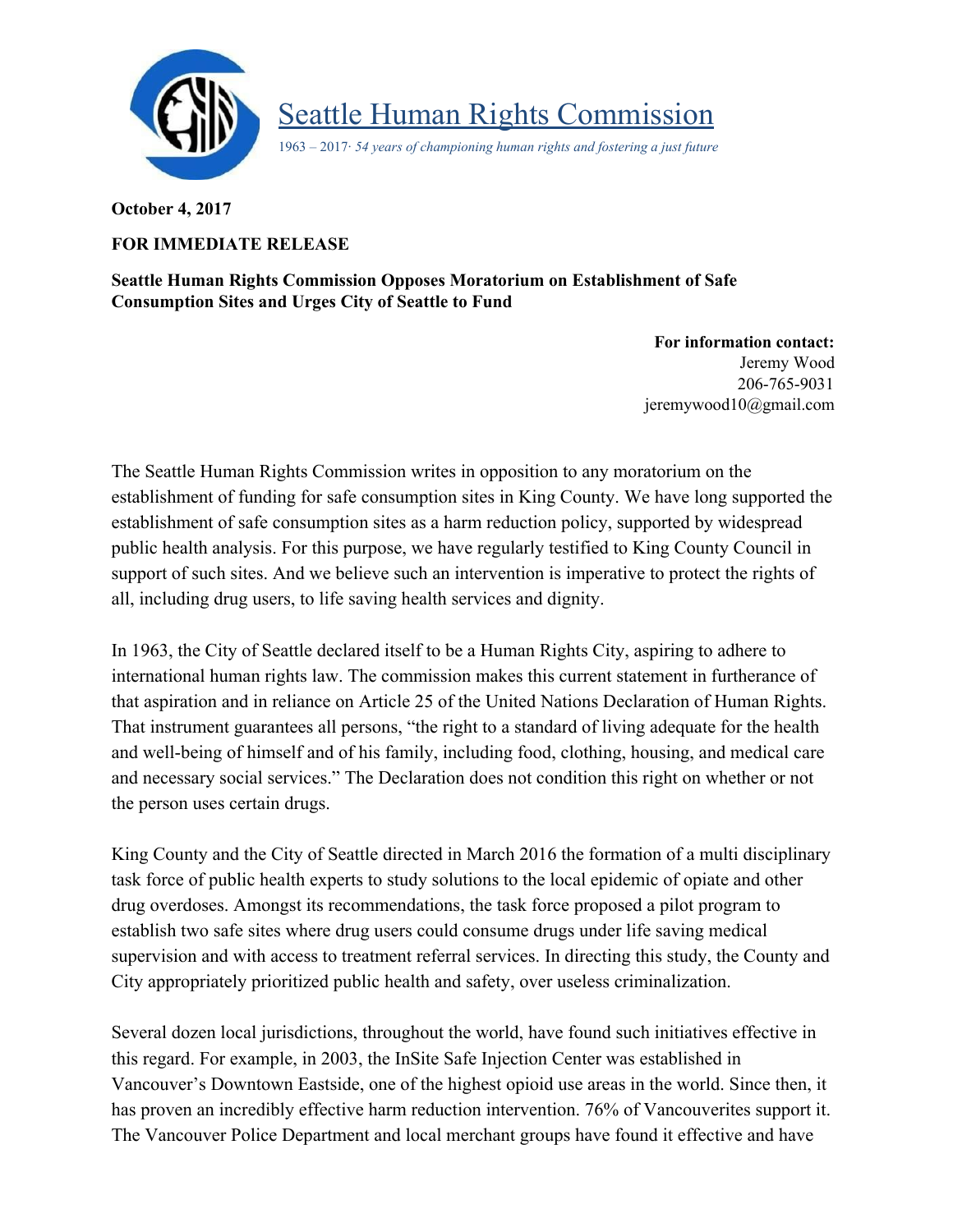

Seattle Human Rights Commission

1963 – 2017· *54 years of championing human rights and fostering a just future*

**October 4, 2017**

## **FOR IMMEDIATE RELEASE**

**Seattle Human Rights Commission Opposes Moratorium on Establishment of Safe Consumption Sites and Urges City of Seattle to Fund**

> **For information contact:** Jeremy Wood 206-765-9031 jeremywood1[0@gmail.com](mailto:seattlehumanrights@gmail.com)

The Seattle Human Rights Commission writes in opposition to any moratorium on the establishment of funding for safe consumption sites in King County. We have long supported the establishment of safe consumption sites as a harm reduction policy, supported by widespread public health analysis. For this purpose, we have regularly testified to King County Council in support of such sites. And we believe such an intervention is imperative to protect the rights of all, including drug users, to life saving health services and dignity.

In 1963, the City of Seattle declared itself to be a Human Rights City, aspiring to adhere to international human rights law. The commission makes this current statement in furtherance of that aspiration and in reliance on Article 25 of the United Nations Declaration of Human Rights. That instrument guarantees all persons, "the right to a standard of living adequate for the health and well-being of himself and of his family, including food, clothing, housing, and medical care and necessary social services." The Declaration does not condition this right on whether or not the person uses certain drugs.

King County and the City of Seattle directed in March 2016 the formation of a multi disciplinary task force of public health experts to study solutions to the local epidemic of opiate and other drug overdoses. Amongst its recommendations, the task force proposed a pilot program to establish two safe sites where drug users could consume drugs under life saving medical supervision and with access to treatment referral services. In directing this study, the County and City appropriately prioritized public health and safety, over useless criminalization.

Several dozen local jurisdictions, throughout the world, have found such initiatives effective in this regard. For example, in 2003, the InSite Safe Injection Center was established in Vancouver's Downtown Eastside, one of the highest opioid use areas in the world. Since then, it has proven an incredibly effective harm reduction intervention. 76% of Vancouverites support it. The Vancouver Police Department and local merchant groups have found it effective and have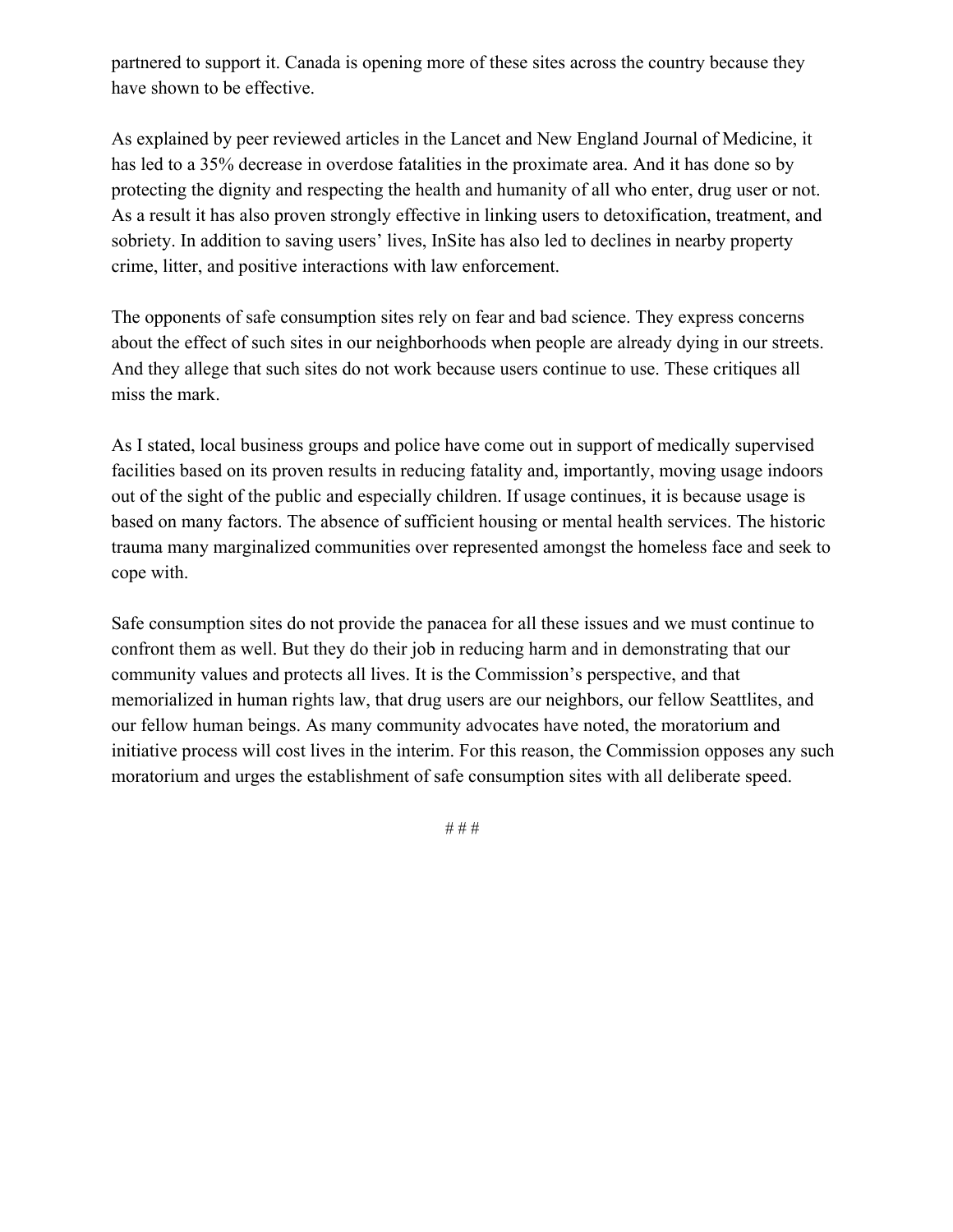partnered to support it. Canada is opening more of these sites across the country because they have shown to be effective.

As explained by peer reviewed articles in the Lancet and New England Journal of Medicine, it has led to a 35% decrease in overdose fatalities in the proximate area. And it has done so by protecting the dignity and respecting the health and humanity of all who enter, drug user or not. As a result it has also proven strongly effective in linking users to detoxification, treatment, and sobriety. In addition to saving users' lives, InSite has also led to declines in nearby property crime, litter, and positive interactions with law enforcement.

The opponents of safe consumption sites rely on fear and bad science. They express concerns about the effect of such sites in our neighborhoods when people are already dying in our streets. And they allege that such sites do not work because users continue to use. These critiques all miss the mark.

As I stated, local business groups and police have come out in support of medically supervised facilities based on its proven results in reducing fatality and, importantly, moving usage indoors out of the sight of the public and especially children. If usage continues, it is because usage is based on many factors. The absence of sufficient housing or mental health services. The historic trauma many marginalized communities over represented amongst the homeless face and seek to cope with.

Safe consumption sites do not provide the panacea for all these issues and we must continue to confront them as well. But they do their job in reducing harm and in demonstrating that our community values and protects all lives. It is the Commission's perspective, and that memorialized in human rights law, that drug users are our neighbors, our fellow Seattlites, and our fellow human beings. As many community advocates have noted, the moratorium and initiative process will cost lives in the interim. For this reason, the Commission opposes any such moratorium and urges the establishment of safe consumption sites with all deliberate speed.

# # #